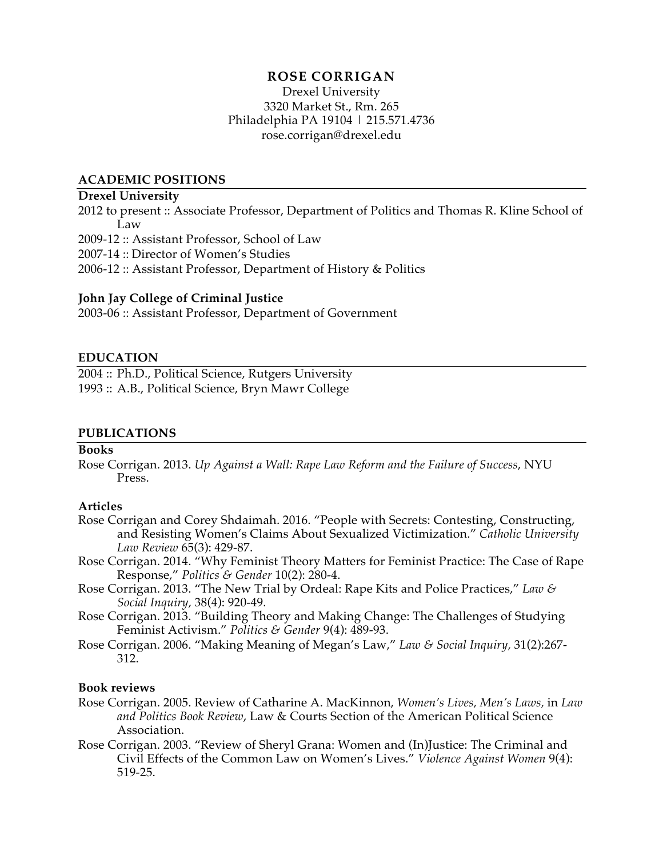# **ROSE CORRIGAN**

Drexel University 3320 Market St., Rm. 265 Philadelphia PA 19104 | 215.571.4736 rose.corrigan@drexel.edu

## **ACADEMIC POSITIONS**

## **Drexel University**

2012 to present :: Associate Professor, Department of Politics and Thomas R. Kline School of Law

2009-12 :: Assistant Professor, School of Law

2007-14 :: Director of Women's Studies

2006-12 :: Assistant Professor, Department of History & Politics

## **John Jay College of Criminal Justice**

2003-06 :: Assistant Professor, Department of Government

# **EDUCATION**

2004 :: Ph.D., Political Science, Rutgers University 1993 :: A.B., Political Science, Bryn Mawr College

## **PUBLICATIONS**

## **Books**

Rose Corrigan. 2013. *Up Against a Wall: Rape Law Reform and the Failure of Success*, NYU Press.

## **Articles**

- Rose Corrigan and Corey Shdaimah. 2016. "People with Secrets: Contesting, Constructing, and Resisting Women's Claims About Sexualized Victimization." *Catholic University Law Review* 65(3): 429-87.
- Rose Corrigan. 2014. "Why Feminist Theory Matters for Feminist Practice: The Case of Rape Response," *Politics & Gender* 10(2): 280-4.
- Rose Corrigan. 2013. "The New Trial by Ordeal: Rape Kits and Police Practices," *Law & Social Inquiry,* 38(4): 920-49*.*
- Rose Corrigan. 2013. "Building Theory and Making Change: The Challenges of Studying Feminist Activism." *Politics & Gender* 9(4): 489-93.
- Rose Corrigan. 2006. "Making Meaning of Megan's Law," *Law & Social Inquiry,* 31(2):267- 312.

## **Book reviews**

- Rose Corrigan. 2005. Review of Catharine A. MacKinnon, *Women's Lives, Men's Laws,* in *Law and Politics Book Review*, Law & Courts Section of the American Political Science Association.
- Rose Corrigan. 2003. "Review of Sheryl Grana: Women and (In)Justice: The Criminal and Civil Effects of the Common Law on Women's Lives." *Violence Against Women* 9(4): 519-25.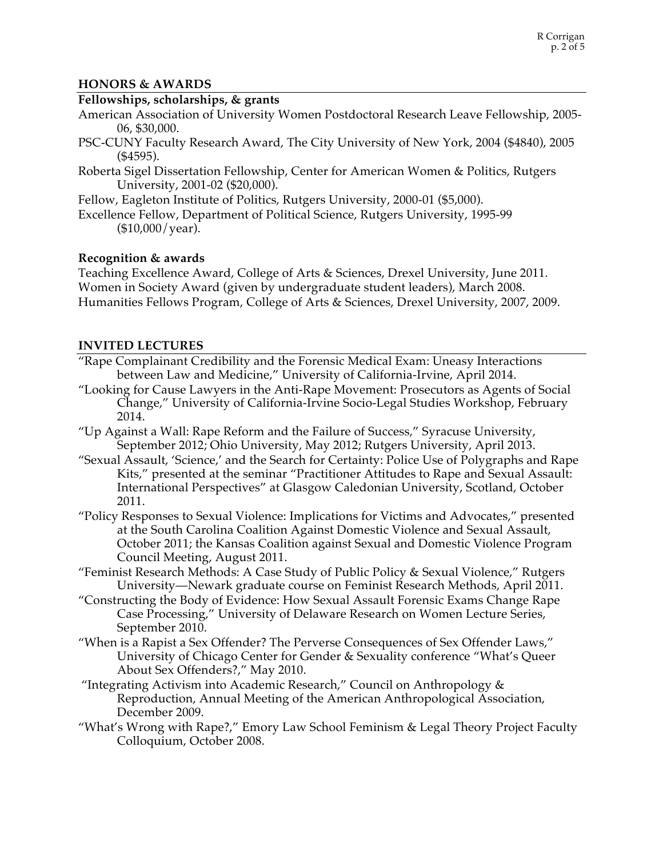# **HONORS & AWARDS**

# **Fellowships, scholarships, & grants**

- American Association of University Women Postdoctoral Research Leave Fellowship, 2005- 06, \$30,000.
- PSC-CUNY Faculty Research Award, The City University of New York, 2004 (\$4840), 2005 (\$4595).
- Roberta Sigel Dissertation Fellowship, Center for American Women & Politics, Rutgers University, 2001-02 (\$20,000).
- Fellow, Eagleton Institute of Politics, Rutgers University, 2000-01 (\$5,000).
- Excellence Fellow, Department of Political Science, Rutgers University, 1995-99  $($10,000/\text{year}).$

# **Recognition & awards**

Teaching Excellence Award, College of Arts & Sciences, Drexel University, June 2011. Women in Society Award (given by undergraduate student leaders), March 2008. Humanities Fellows Program, College of Arts & Sciences, Drexel University, 2007, 2009.

# **INVITED LECTURES**

- "Rape Complainant Credibility and the Forensic Medical Exam: Uneasy Interactions between Law and Medicine," University of California-Irvine, April 2014.
- "Looking for Cause Lawyers in the Anti-Rape Movement: Prosecutors as Agents of Social Change," University of California-Irvine Socio-Legal Studies Workshop, February 2014.
- "Up Against a Wall: Rape Reform and the Failure of Success," Syracuse University, September 2012; Ohio University, May 2012; Rutgers University, April 2013.
- "Sexual Assault, 'Science,' and the Search for Certainty: Police Use of Polygraphs and Rape Kits," presented at the seminar "Practitioner Attitudes to Rape and Sexual Assault: International Perspectives" at Glasgow Caledonian University, Scotland, October 2011.
- "Policy Responses to Sexual Violence: Implications for Victims and Advocates," presented at the South Carolina Coalition Against Domestic Violence and Sexual Assault, October 2011; the Kansas Coalition against Sexual and Domestic Violence Program Council Meeting, August 2011.
- "Feminist Research Methods: A Case Study of Public Policy & Sexual Violence," Rutgers University—Newark graduate course on Feminist Research Methods, April 2011.
- "Constructing the Body of Evidence: How Sexual Assault Forensic Exams Change Rape Case Processing," University of Delaware Research on Women Lecture Series, September 2010.
- "When is a Rapist a Sex Offender? The Perverse Consequences of Sex Offender Laws," University of Chicago Center for Gender & Sexuality conference "What's Queer About Sex Offenders?," May 2010.
- "Integrating Activism into Academic Research," Council on Anthropology & Reproduction, Annual Meeting of the American Anthropological Association, December 2009.
- "What's Wrong with Rape?," Emory Law School Feminism & Legal Theory Project Faculty Colloquium, October 2008.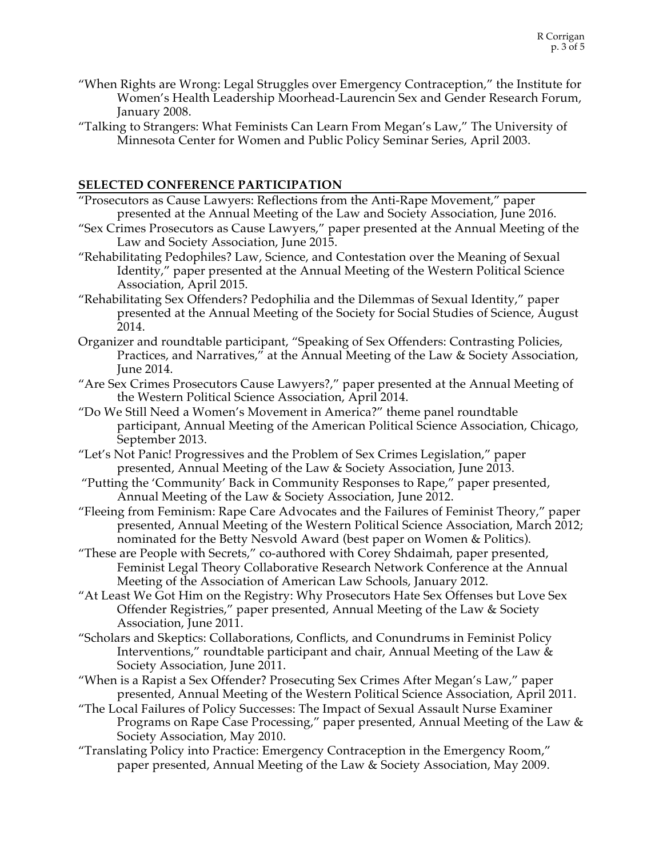- "When Rights are Wrong: Legal Struggles over Emergency Contraception," the Institute for Women's Health Leadership Moorhead-Laurencin Sex and Gender Research Forum, January 2008.
- "Talking to Strangers: What Feminists Can Learn From Megan's Law," The University of Minnesota Center for Women and Public Policy Seminar Series, April 2003.

# **SELECTED CONFERENCE PARTICIPATION**

- "Prosecutors as Cause Lawyers: Reflections from the Anti-Rape Movement," paper presented at the Annual Meeting of the Law and Society Association, June 2016.
- "Sex Crimes Prosecutors as Cause Lawyers," paper presented at the Annual Meeting of the Law and Society Association, June 2015.
- "Rehabilitating Pedophiles? Law, Science, and Contestation over the Meaning of Sexual Identity," paper presented at the Annual Meeting of the Western Political Science Association, April 2015.
- "Rehabilitating Sex Offenders? Pedophilia and the Dilemmas of Sexual Identity," paper presented at the Annual Meeting of the Society for Social Studies of Science, August 2014.
- Organizer and roundtable participant, "Speaking of Sex Offenders: Contrasting Policies, Practices, and Narratives," at the Annual Meeting of the Law & Society Association, June 2014.
- "Are Sex Crimes Prosecutors Cause Lawyers?," paper presented at the Annual Meeting of the Western Political Science Association, April 2014.
- "Do We Still Need a Women's Movement in America?" theme panel roundtable participant, Annual Meeting of the American Political Science Association, Chicago, September 2013.
- "Let's Not Panic! Progressives and the Problem of Sex Crimes Legislation," paper presented, Annual Meeting of the Law & Society Association, June 2013.
- "Putting the 'Community' Back in Community Responses to Rape," paper presented, Annual Meeting of the Law & Society Association, June 2012.
- "Fleeing from Feminism: Rape Care Advocates and the Failures of Feminist Theory," paper presented, Annual Meeting of the Western Political Science Association, March 2012; nominated for the Betty Nesvold Award (best paper on Women & Politics).
- "These are People with Secrets," co-authored with Corey Shdaimah, paper presented, Feminist Legal Theory Collaborative Research Network Conference at the Annual Meeting of the Association of American Law Schools, January 2012.
- "At Least We Got Him on the Registry: Why Prosecutors Hate Sex Offenses but Love Sex Offender Registries," paper presented, Annual Meeting of the Law & Society Association, June 2011.
- "Scholars and Skeptics: Collaborations, Conflicts, and Conundrums in Feminist Policy Interventions," roundtable participant and chair, Annual Meeting of the Law & Society Association, June 2011.
- "When is a Rapist a Sex Offender? Prosecuting Sex Crimes After Megan's Law," paper presented, Annual Meeting of the Western Political Science Association, April 2011.
- "The Local Failures of Policy Successes: The Impact of Sexual Assault Nurse Examiner Programs on Rape Case Processing," paper presented, Annual Meeting of the Law & Society Association, May 2010.
- "Translating Policy into Practice: Emergency Contraception in the Emergency Room," paper presented, Annual Meeting of the Law & Society Association, May 2009.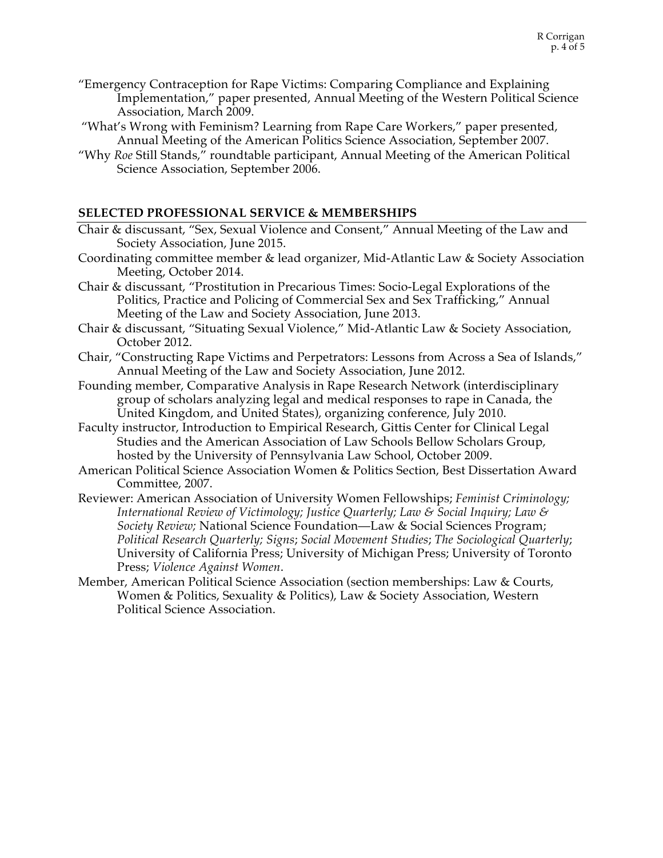- "Emergency Contraception for Rape Victims: Comparing Compliance and Explaining Implementation," paper presented, Annual Meeting of the Western Political Science Association, March 2009.
- "What's Wrong with Feminism? Learning from Rape Care Workers," paper presented, Annual Meeting of the American Politics Science Association, September 2007.
- "Why *Roe* Still Stands," roundtable participant, Annual Meeting of the American Political Science Association, September 2006.

## **SELECTED PROFESSIONAL SERVICE & MEMBERSHIPS**

- Chair & discussant, "Sex, Sexual Violence and Consent," Annual Meeting of the Law and Society Association, June 2015.
- Coordinating committee member & lead organizer, Mid-Atlantic Law & Society Association Meeting, October 2014.
- Chair & discussant, "Prostitution in Precarious Times: Socio-Legal Explorations of the Politics, Practice and Policing of Commercial Sex and Sex Trafficking," Annual Meeting of the Law and Society Association, June 2013.
- Chair & discussant, "Situating Sexual Violence," Mid-Atlantic Law & Society Association, October 2012.
- Chair, "Constructing Rape Victims and Perpetrators: Lessons from Across a Sea of Islands," Annual Meeting of the Law and Society Association, June 2012.
- Founding member, Comparative Analysis in Rape Research Network (interdisciplinary group of scholars analyzing legal and medical responses to rape in Canada, the United Kingdom, and United States), organizing conference, July 2010.
- Faculty instructor, Introduction to Empirical Research, Gittis Center for Clinical Legal Studies and the American Association of Law Schools Bellow Scholars Group, hosted by the University of Pennsylvania Law School, October 2009.
- American Political Science Association Women & Politics Section, Best Dissertation Award Committee, 2007.
- Reviewer: American Association of University Women Fellowships; *Feminist Criminology; International Review of Victimology; Justice Quarterly; Law & Social Inquiry; Law & Society Review;* National Science Foundation—Law & Social Sciences Program; *Political Research Quarterly; Signs*; *Social Movement Studies*; *The Sociological Quarterly*; University of California Press; University of Michigan Press; University of Toronto Press; *Violence Against Women*.
- Member, American Political Science Association (section memberships: Law & Courts, Women & Politics, Sexuality & Politics), Law & Society Association, Western Political Science Association.